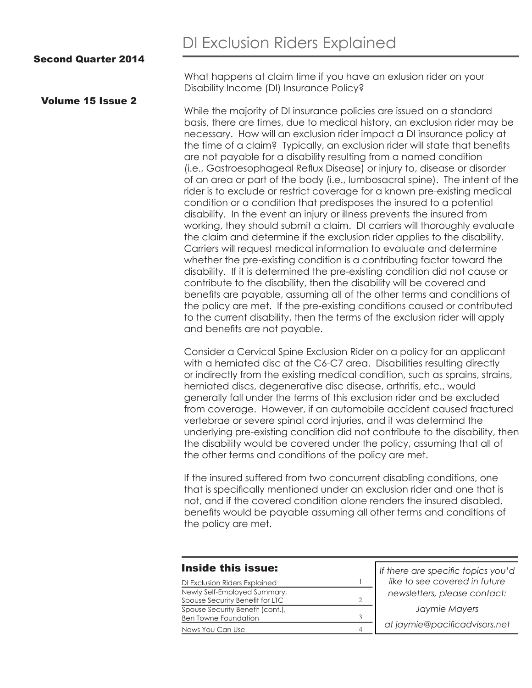### Second Quarter 2014

#### Volume 15 Issue 2

What happens at claim time if you have an exlusion rider on your Disability Income (DI) Insurance Policy?

While the majority of DI insurance policies are issued on a standard basis, there are times, due to medical history, an exclusion rider may be necessary. How will an exclusion rider impact a DI insurance policy at the time of a claim? Typically, an exclusion rider will state that benefits are not payable for a disability resulting from a named condition (i.e., Gastroesophageal Reflux Disease) or injury to, disease or disorder of an area or part of the body (i.e., lumbosacral spine). The intent of the rider is to exclude or restrict coverage for a known pre-existing medical condition or a condition that predisposes the insured to a potential disability. In the event an injury or illness prevents the insured from working, they should submit a claim. DI carriers will thoroughly evaluate the claim and determine if the exclusion rider applies to the disability. Carriers will request medical information to evaluate and determine whether the pre-existing condition is a contributing factor toward the disability. If it is determined the pre-existing condition did not cause or contribute to the disability, then the disability will be covered and benefits are payable, assuming all of the other terms and conditions of the policy are met. If the pre-existing conditions caused or contributed to the current disability, then the terms of the exclusion rider will apply and benefits are not payable.

Consider a Cervical Spine Exclusion Rider on a policy for an applicant with a herniated disc at the C6-C7 area. Disabilities resulting directly or indirectly from the existing medical condition, such as sprains, strains, herniated discs, degenerative disc disease, arthritis, etc., would generally fall under the terms of this exclusion rider and be excluded from coverage. However, if an automobile accident caused fractured vertebrae or severe spinal cord injuries, and it was determind the underlying pre-existing condition did not contribute to the disability, then the disability would be covered under the policy, assuming that all of the other terms and conditions of the policy are met.

If the insured suffered from two concurrent disabling conditions, one that is specifically mentioned under an exclusion rider and one that is not, and if the covered condition alone renders the insured disabled, benefits would be payable assuming all other terms and conditions of the policy are met.

#### Inside this issue:

| DI Exclusion Riders Explained    |  |
|----------------------------------|--|
| Newly Self-Employed Summary,     |  |
| Spouse Security Benefit for LTC  |  |
| Spouse Security Benefit (cont.), |  |
| <b>Ben Towne Foundation</b>      |  |
| News You Can Use                 |  |

| If there are specific topics you'd |
|------------------------------------|
| like to see covered in future      |
| newsletters, please contact:       |
| Jaymie Mayers                      |
| at jaymie@pacificadvisors.net      |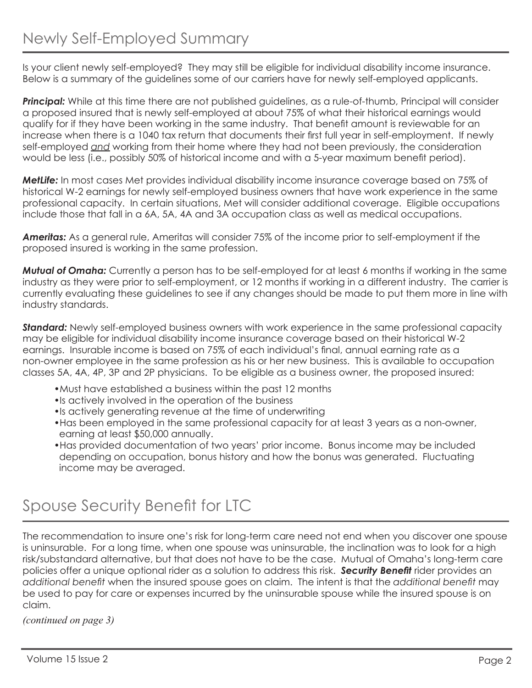Is your client newly self-employed? They may still be eligible for individual disability income insurance. Below is a summary of the guidelines some of our carriers have for newly self-employed applicants.

*Principal:* While at this time there are not published guidelines, as a rule-of-thumb, Principal will consider a proposed insured that is newly self-employed at about 75% of what their historical earnings would qualify for if they have been working in the same industry. That benefit amount is reviewable for an increase when there is a 1040 tax return that documents their first full year in self-employment. If newly self-employed *and* working from their home where they had not been previously, the consideration would be less (i.e., possibly 50% of historical income and with a 5-year maximum benefit period).

*MetLife:* In most cases Met provides individual disability income insurance coverage based on 75% of historical W-2 earnings for newly self-employed business owners that have work experience in the same professional capacity. In certain situations, Met will consider additional coverage. Eligible occupations include those that fall in a 6A, 5A, 4A and 3A occupation class as well as medical occupations.

*Ameritas:* As a general rule, Ameritas will consider 75% of the income prior to self-employment if the proposed insured is working in the same profession.

*Mutual of Omaha:* Currently a person has to be self-employed for at least 6 months if working in the same industry as they were prior to self-employment, or 12 months if working in a different industry. The carrier is currently evaluating these guidelines to see if any changes should be made to put them more in line with industry standards.

*Standard:* Newly self-employed business owners with work experience in the same professional capacity may be eligible for individual disability income insurance coverage based on their historical W-2 earnings. Insurable income is based on 75% of each individual's final, annual earning rate as a non-owner employee in the same profession as his or her new business. This is available to occupation classes 5A, 4A, 4P, 3P and 2P physicians. To be eligible as a business owner, the proposed insured:

- •Must have established a business within the past 12 months
- •Is actively involved in the operation of the business
- •Is actively generating revenue at the time of underwriting
- •Has been employed in the same professional capacity for at least 3 years as a non-owner, earning at least \$50,000 annually.
- •Has provided documentation of two years' prior income. Bonus income may be included depending on occupation, bonus history and how the bonus was generated. Fluctuating income may be averaged.

# Spouse Security Benefit for LTC

The recommendation to insure one's risk for long-term care need not end when you discover one spouse is uninsurable. For a long time, when one spouse was uninsurable, the inclination was to look for a high risk/substandard alternative, but that does not have to be the case. Mutual of Omaha's long-term care policies offer a unique optional rider as a solution to address this risk. *Security Benefit* rider provides an *additional benefit* when the insured spouse goes on claim. The intent is that the *additional benefit* may be used to pay for care or expenses incurred by the uninsurable spouse while the insured spouse is on claim.

*(continued on page 3)*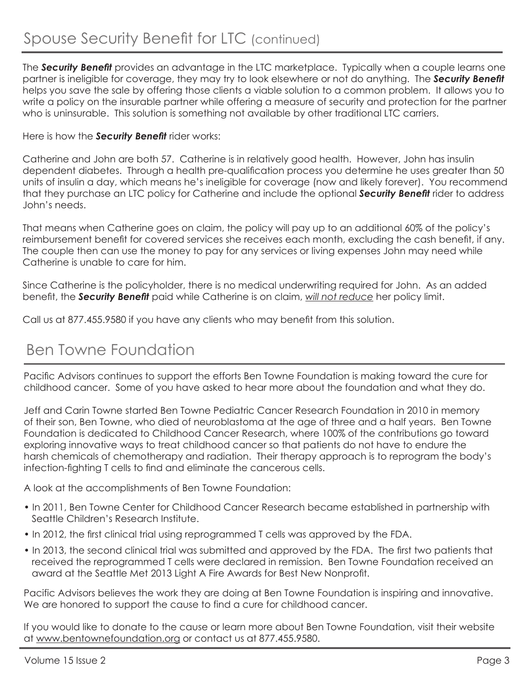The *Security Benefit* provides an advantage in the LTC marketplace. Typically when a couple learns one partner is ineligible for coverage, they may try to look elsewhere or not do anything. The *Security Benefit* helps you save the sale by offering those clients a viable solution to a common problem. It allows you to write a policy on the insurable partner while offering a measure of security and protection for the partner who is uninsurable. This solution is something not available by other traditional LTC carriers.

### Here is how the *Security Benefit* rider works:

Catherine and John are both 57. Catherine is in relatively good health. However, John has insulin dependent diabetes. Through a health pre-qualification process you determine he uses greater than 50 units of insulin a day, which means he's ineligible for coverage (now and likely forever). You recommend that they purchase an LTC policy for Catherine and include the optional *Security Benefit* rider to address John's needs.

That means when Catherine goes on claim, the policy will pay up to an additional 60% of the policy's reimbursement benefit for covered services she receives each month, excluding the cash benefit, if any. The couple then can use the money to pay for any services or living expenses John may need while Catherine is unable to care for him.

Since Catherine is the policyholder, there is no medical underwriting required for John. As an added benefit, the *Security Benefit* paid while Catherine is on claim, *will not reduce* her policy limit.

Call us at 877.455.9580 if you have any clients who may benefit from this solution.

## Ben Towne Foundation

Pacific Advisors continues to support the efforts Ben Towne Foundation is making toward the cure for childhood cancer. Some of you have asked to hear more about the foundation and what they do.

Jeff and Carin Towne started Ben Towne Pediatric Cancer Research Foundation in 2010 in memory of their son, Ben Towne, who died of neuroblastoma at the age of three and a half years. Ben Towne Foundation is dedicated to Childhood Cancer Research, where 100% of the contributions go toward exploring innovative ways to treat childhood cancer so that patients do not have to endure the harsh chemicals of chemotherapy and radiation. Their therapy approach is to reprogram the body's infection-fighting T cells to find and eliminate the cancerous cells.

A look at the accomplishments of Ben Towne Foundation:

- In 2011, Ben Towne Center for Childhood Cancer Research became established in partnership with Seattle Children's Research Institute.
- In 2012, the first clinical trial using reprogrammed T cells was approved by the FDA.
- In 2013, the second clinical trial was submitted and approved by the FDA. The first two patients that received the reprogrammed T cells were declared in remission. Ben Towne Foundation received an award at the Seattle Met 2013 Light A Fire Awards for Best New Nonprofit.

Pacific Advisors believes the work they are doing at Ben Towne Foundation is inspiring and innovative. We are honored to support the cause to find a cure for childhood cancer.

If you would like to donate to the cause or learn more about Ben Towne Foundation, visit their website at www.bentownefoundation.org or contact us at 877.455.9580.